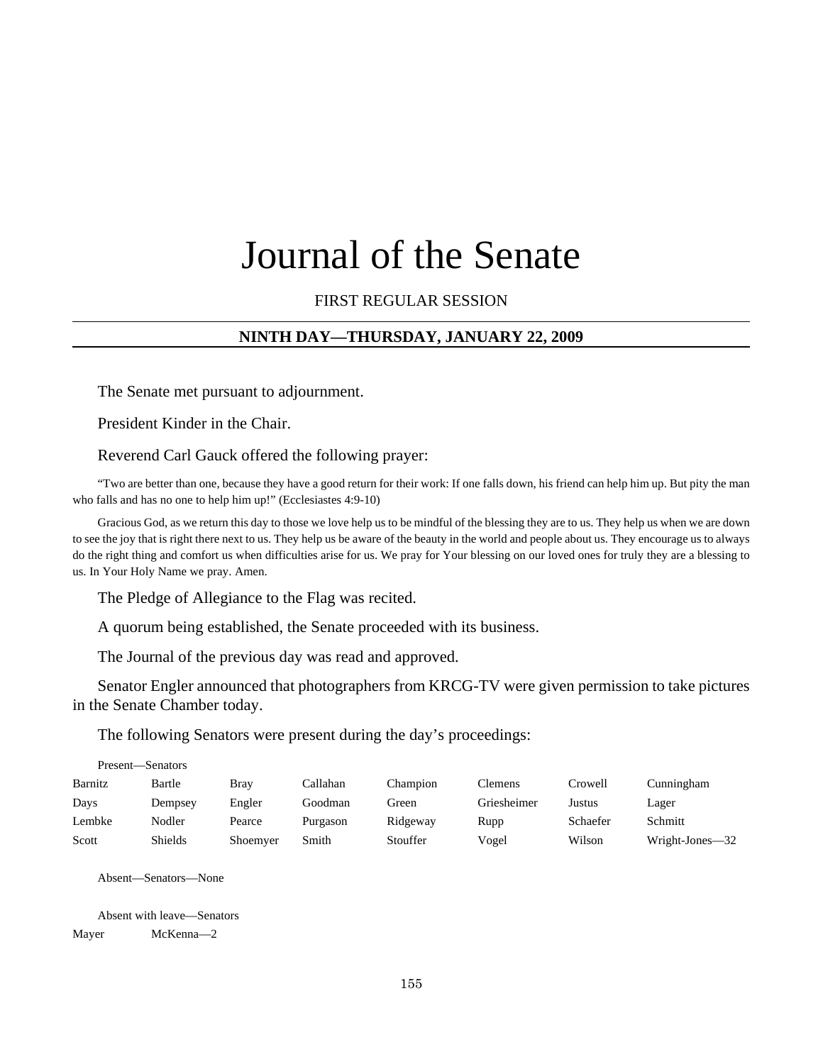# Journal of the Senate

## FIRST REGULAR SESSION

## **NINTH DAY—THURSDAY, JANUARY 22, 2009**

The Senate met pursuant to adjournment.

President Kinder in the Chair.

Reverend Carl Gauck offered the following prayer:

"Two are better than one, because they have a good return for their work: If one falls down, his friend can help him up. But pity the man who falls and has no one to help him up!" (Ecclesiastes 4:9-10)

Gracious God, as we return this day to those we love help us to be mindful of the blessing they are to us. They help us when we are down to see the joy that is right there next to us. They help us be aware of the beauty in the world and people about us. They encourage us to always do the right thing and comfort us when difficulties arise for us. We pray for Your blessing on our loved ones for truly they are a blessing to us. In Your Holy Name we pray. Amen.

The Pledge of Allegiance to the Flag was recited.

A quorum being established, the Senate proceeded with its business.

The Journal of the previous day was read and approved.

Senator Engler announced that photographers from KRCG-TV were given permission to take pictures in the Senate Chamber today.

The following Senators were present during the day's proceedings:

| Present—Senators |                |          |          |          |             |          |                 |
|------------------|----------------|----------|----------|----------|-------------|----------|-----------------|
| Barnitz          | Bartle         | Bray     | Callahan | Champion | Clemens     | Crowell  | Cunningham      |
| Days             | Dempsey        | Engler   | Goodman  | Green    | Griesheimer | Justus   | Lager           |
| Lembke           | <b>Nodler</b>  | Pearce   | Purgason | Ridgeway | Rupp        | Schaefer | Schmitt         |
| Scott            | <b>Shields</b> | Shoemyer | Smith    | Stouffer | Vogel       | Wilson   | Wright-Jones-32 |

Absent—Senators—None

Absent with leave—Senators

Mayer McKenna—2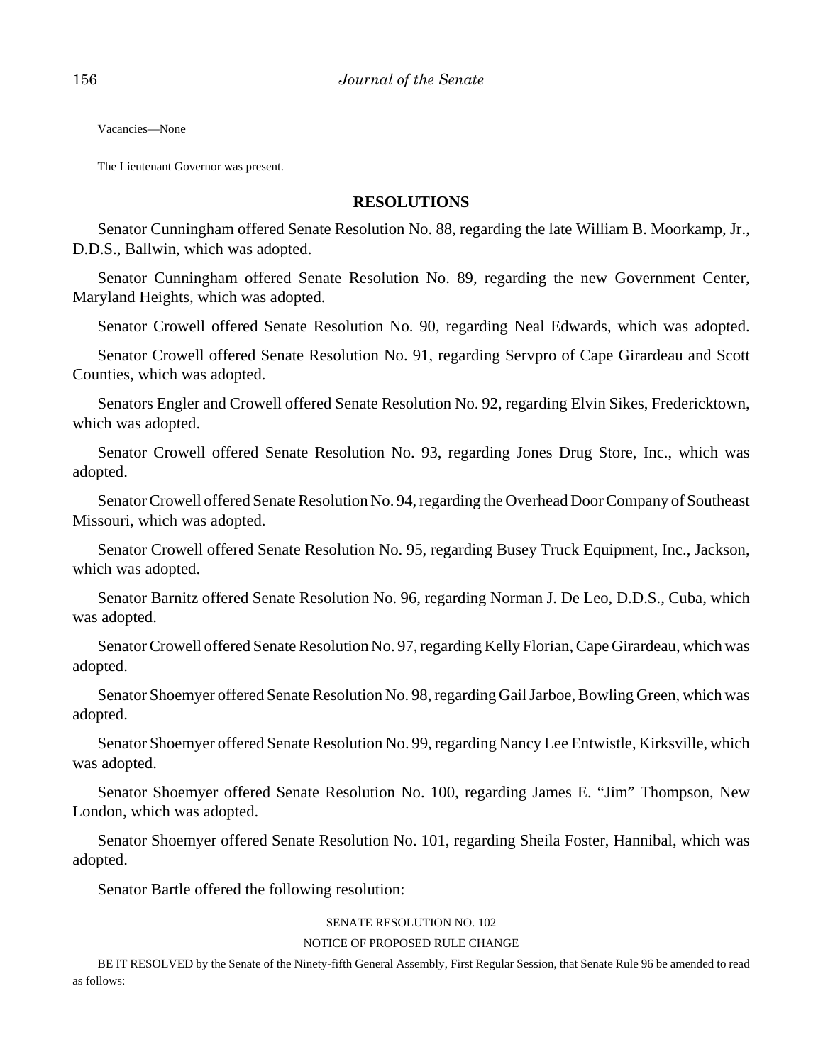Vacancies—None

The Lieutenant Governor was present.

#### **RESOLUTIONS**

Senator Cunningham offered Senate Resolution No. 88, regarding the late William B. Moorkamp, Jr., D.D.S., Ballwin, which was adopted.

Senator Cunningham offered Senate Resolution No. 89, regarding the new Government Center, Maryland Heights, which was adopted.

Senator Crowell offered Senate Resolution No. 90, regarding Neal Edwards, which was adopted.

Senator Crowell offered Senate Resolution No. 91, regarding Servpro of Cape Girardeau and Scott Counties, which was adopted.

Senators Engler and Crowell offered Senate Resolution No. 92, regarding Elvin Sikes, Fredericktown, which was adopted.

Senator Crowell offered Senate Resolution No. 93, regarding Jones Drug Store, Inc., which was adopted.

Senator Crowell offered Senate Resolution No. 94, regarding the Overhead Door Company of Southeast Missouri, which was adopted.

Senator Crowell offered Senate Resolution No. 95, regarding Busey Truck Equipment, Inc., Jackson, which was adopted.

Senator Barnitz offered Senate Resolution No. 96, regarding Norman J. De Leo, D.D.S., Cuba, which was adopted.

Senator Crowell offered Senate Resolution No. 97, regarding Kelly Florian, Cape Girardeau, which was adopted.

Senator Shoemyer offered Senate Resolution No. 98, regarding Gail Jarboe, Bowling Green, which was adopted.

Senator Shoemyer offered Senate Resolution No. 99, regarding Nancy Lee Entwistle, Kirksville, which was adopted.

Senator Shoemyer offered Senate Resolution No. 100, regarding James E. "Jim" Thompson, New London, which was adopted.

Senator Shoemyer offered Senate Resolution No. 101, regarding Sheila Foster, Hannibal, which was adopted.

Senator Bartle offered the following resolution:

#### SENATE RESOLUTION NO. 102

#### NOTICE OF PROPOSED RULE CHANGE

BE IT RESOLVED by the Senate of the Ninety-fifth General Assembly, First Regular Session, that Senate Rule 96 be amended to read as follows: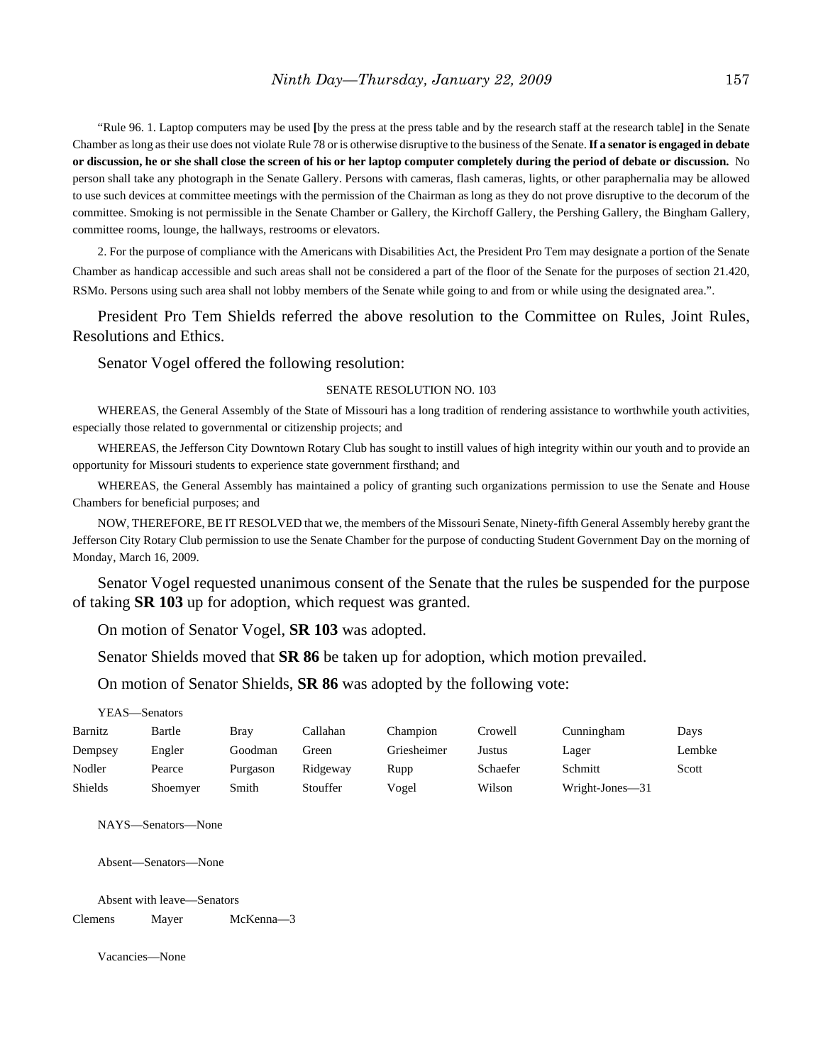"Rule 96. 1. Laptop computers may be used **[**by the press at the press table and by the research staff at the research table**]** in the Senate Chamber as long as their use does not violate Rule 78 or is otherwise disruptive to the business of the Senate. **If a senator is engaged in debate or discussion, he or she shall close the screen of his or her laptop computer completely during the period of debate or discussion.** No person shall take any photograph in the Senate Gallery. Persons with cameras, flash cameras, lights, or other paraphernalia may be allowed to use such devices at committee meetings with the permission of the Chairman as long as they do not prove disruptive to the decorum of the committee. Smoking is not permissible in the Senate Chamber or Gallery, the Kirchoff Gallery, the Pershing Gallery, the Bingham Gallery, committee rooms, lounge, the hallways, restrooms or elevators.

2. For the purpose of compliance with the Americans with Disabilities Act, the President Pro Tem may designate a portion of the Senate Chamber as handicap accessible and such areas shall not be considered a part of the floor of the Senate for the purposes of section 21.420, RSMo. Persons using such area shall not lobby members of the Senate while going to and from or while using the designated area.".

President Pro Tem Shields referred the above resolution to the Committee on Rules, Joint Rules, Resolutions and Ethics.

Senator Vogel offered the following resolution:

#### SENATE RESOLUTION NO. 103

WHEREAS, the General Assembly of the State of Missouri has a long tradition of rendering assistance to worthwhile youth activities, especially those related to governmental or citizenship projects; and

WHEREAS, the Jefferson City Downtown Rotary Club has sought to instill values of high integrity within our youth and to provide an opportunity for Missouri students to experience state government firsthand; and

WHEREAS, the General Assembly has maintained a policy of granting such organizations permission to use the Senate and House Chambers for beneficial purposes; and

NOW, THEREFORE, BE IT RESOLVED that we, the members of the Missouri Senate, Ninety-fifth General Assembly hereby grant the Jefferson City Rotary Club permission to use the Senate Chamber for the purpose of conducting Student Government Day on the morning of Monday, March 16, 2009.

Senator Vogel requested unanimous consent of the Senate that the rules be suspended for the purpose of taking **SR 103** up for adoption, which request was granted.

On motion of Senator Vogel, **SR 103** was adopted.

Senator Shields moved that **SR 86** be taken up for adoption, which motion prevailed.

On motion of Senator Shields, **SR 86** was adopted by the following vote:

#### YEAS—Senators

| Barnitz        | Bartle   | Brav     | Callahan | Champion    | Crowell  | Cunningham      | Days   |
|----------------|----------|----------|----------|-------------|----------|-----------------|--------|
| Dempsey        | Engler   | Goodman  | Green    | Griesheimer | Justus   | Lager           | Lembke |
| Nodler         | Pearce   | Purgason | Ridgeway | Rupp        | Schaefer | Schmitt         | Scott  |
| <b>Shields</b> | Shoemver | Smith    | Stouffer | Vogel       | Wilson   | Wright-Jones-31 |        |

NAYS—Senators—None

Absent—Senators—None

Absent with leave—Senators Clemens Mayer McKenna—3

Vacancies—None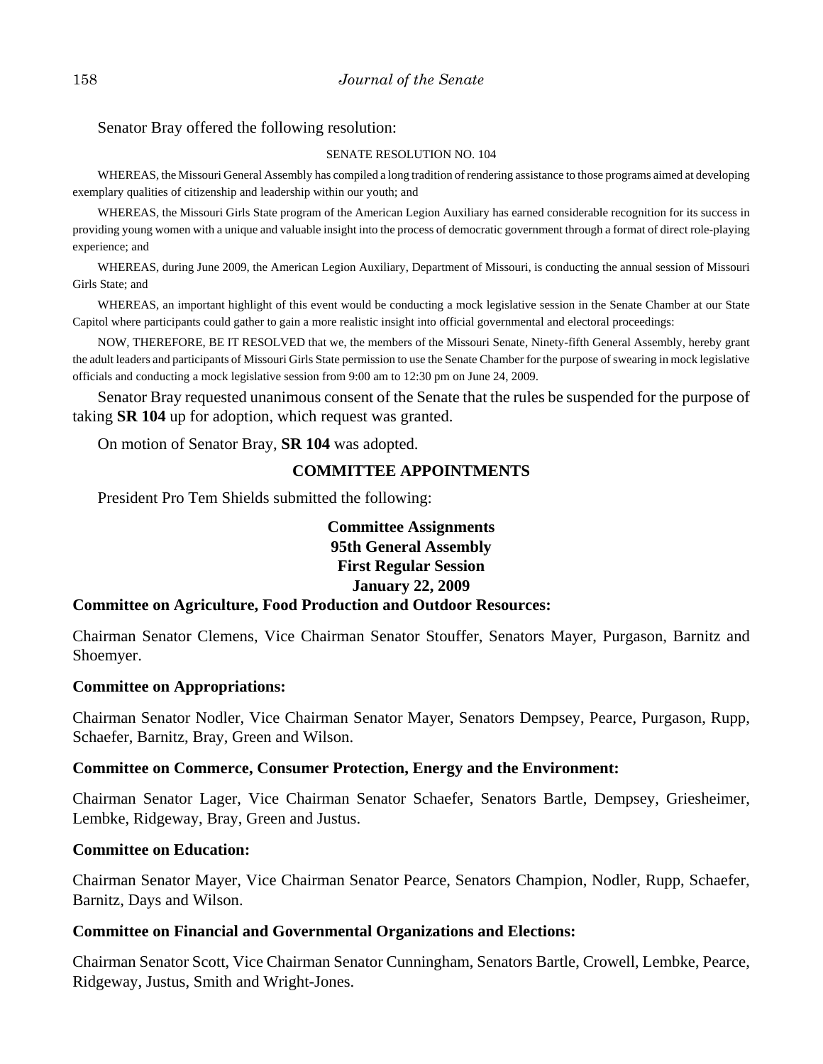## Senator Bray offered the following resolution:

#### SENATE RESOLUTION NO. 104

WHEREAS, the Missouri General Assembly has compiled a long tradition of rendering assistance to those programs aimed at developing exemplary qualities of citizenship and leadership within our youth; and

WHEREAS, the Missouri Girls State program of the American Legion Auxiliary has earned considerable recognition for its success in providing young women with a unique and valuable insight into the process of democratic government through a format of direct role-playing experience; and

WHEREAS, during June 2009, the American Legion Auxiliary, Department of Missouri, is conducting the annual session of Missouri Girls State; and

WHEREAS, an important highlight of this event would be conducting a mock legislative session in the Senate Chamber at our State Capitol where participants could gather to gain a more realistic insight into official governmental and electoral proceedings:

NOW, THEREFORE, BE IT RESOLVED that we, the members of the Missouri Senate, Ninety-fifth General Assembly, hereby grant the adult leaders and participants of Missouri Girls State permission to use the Senate Chamber for the purpose of swearing in mock legislative officials and conducting a mock legislative session from 9:00 am to 12:30 pm on June 24, 2009.

Senator Bray requested unanimous consent of the Senate that the rules be suspended for the purpose of taking **SR 104** up for adoption, which request was granted.

On motion of Senator Bray, **SR 104** was adopted.

# **COMMITTEE APPOINTMENTS**

President Pro Tem Shields submitted the following:

# **Committee Assignments 95th General Assembly First Regular Session January 22, 2009**

# **Committee on Agriculture, Food Production and Outdoor Resources:**

Chairman Senator Clemens, Vice Chairman Senator Stouffer, Senators Mayer, Purgason, Barnitz and Shoemyer.

# **Committee on Appropriations:**

Chairman Senator Nodler, Vice Chairman Senator Mayer, Senators Dempsey, Pearce, Purgason, Rupp, Schaefer, Barnitz, Bray, Green and Wilson.

# **Committee on Commerce, Consumer Protection, Energy and the Environment:**

Chairman Senator Lager, Vice Chairman Senator Schaefer, Senators Bartle, Dempsey, Griesheimer, Lembke, Ridgeway, Bray, Green and Justus.

# **Committee on Education:**

Chairman Senator Mayer, Vice Chairman Senator Pearce, Senators Champion, Nodler, Rupp, Schaefer, Barnitz, Days and Wilson.

# **Committee on Financial and Governmental Organizations and Elections:**

Chairman Senator Scott, Vice Chairman Senator Cunningham, Senators Bartle, Crowell, Lembke, Pearce, Ridgeway, Justus, Smith and Wright-Jones.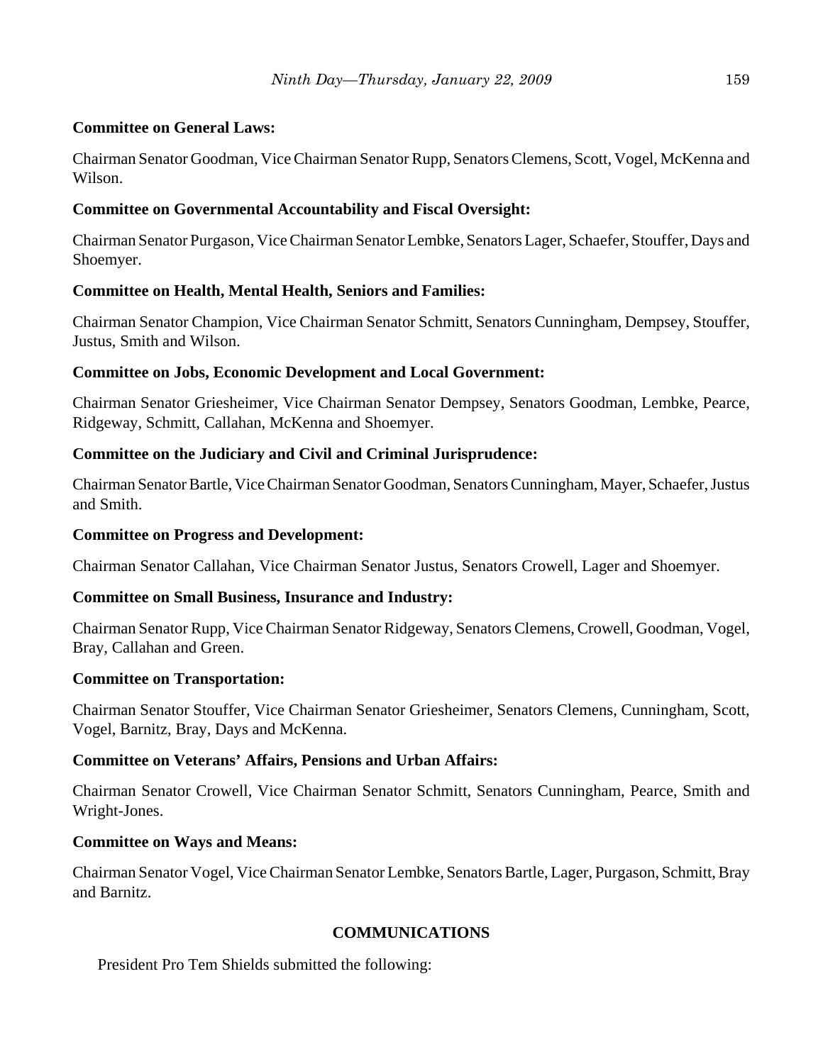# **Committee on General Laws:**

Chairman Senator Goodman, Vice Chairman Senator Rupp, Senators Clemens, Scott, Vogel, McKenna and Wilson.

# **Committee on Governmental Accountability and Fiscal Oversight:**

Chairman Senator Purgason, Vice Chairman Senator Lembke, Senators Lager, Schaefer, Stouffer, Days and Shoemyer.

# **Committee on Health, Mental Health, Seniors and Families:**

Chairman Senator Champion, Vice Chairman Senator Schmitt, Senators Cunningham, Dempsey, Stouffer, Justus, Smith and Wilson.

# **Committee on Jobs, Economic Development and Local Government:**

Chairman Senator Griesheimer, Vice Chairman Senator Dempsey, Senators Goodman, Lembke, Pearce, Ridgeway, Schmitt, Callahan, McKenna and Shoemyer.

# **Committee on the Judiciary and Civil and Criminal Jurisprudence:**

Chairman Senator Bartle, Vice Chairman Senator Goodman, Senators Cunningham, Mayer, Schaefer, Justus and Smith.

# **Committee on Progress and Development:**

Chairman Senator Callahan, Vice Chairman Senator Justus, Senators Crowell, Lager and Shoemyer.

# **Committee on Small Business, Insurance and Industry:**

Chairman Senator Rupp, Vice Chairman Senator Ridgeway, Senators Clemens, Crowell, Goodman, Vogel, Bray, Callahan and Green.

# **Committee on Transportation:**

Chairman Senator Stouffer, Vice Chairman Senator Griesheimer, Senators Clemens, Cunningham, Scott, Vogel, Barnitz, Bray, Days and McKenna.

# **Committee on Veterans' Affairs, Pensions and Urban Affairs:**

Chairman Senator Crowell, Vice Chairman Senator Schmitt, Senators Cunningham, Pearce, Smith and Wright-Jones.

# **Committee on Ways and Means:**

Chairman Senator Vogel, Vice Chairman Senator Lembke, Senators Bartle, Lager, Purgason, Schmitt, Bray and Barnitz.

# **COMMUNICATIONS**

President Pro Tem Shields submitted the following: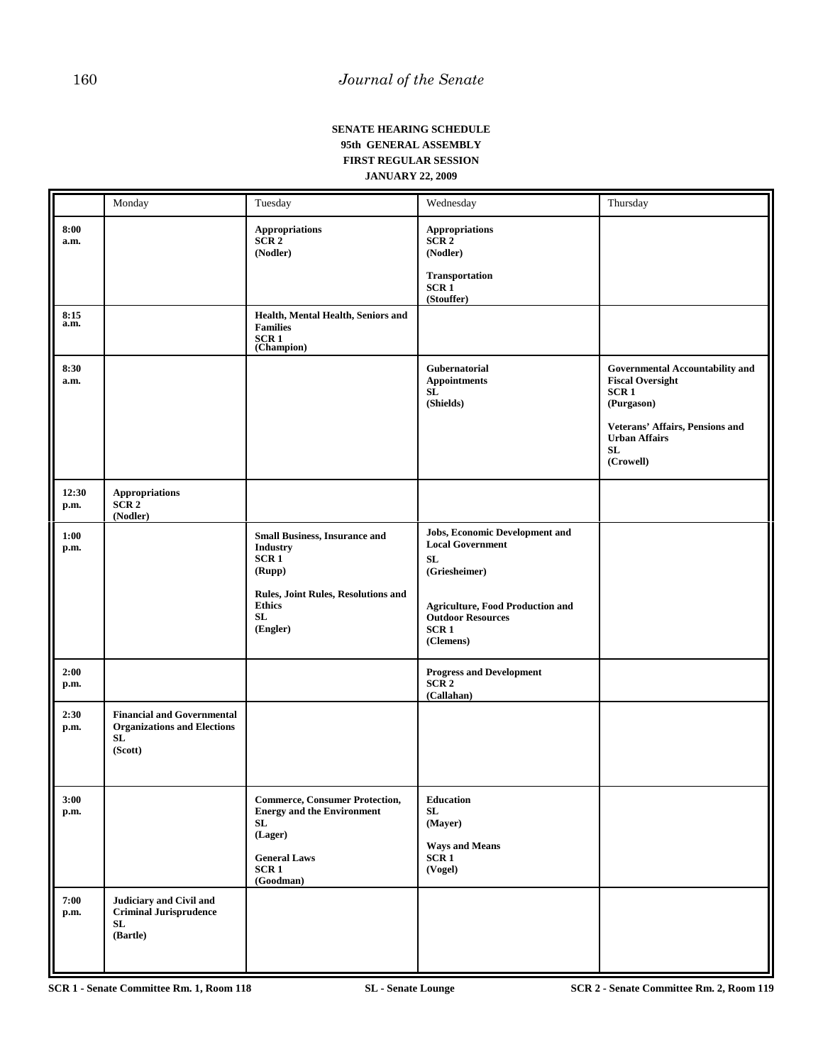#### **SENATE HEARING SCHEDULE 95th GENERAL ASSEMBLY FIRST REGULAR SESSION JANUARY 22, 2009**

|               | Monday                                                                                   | Tuesday                                                                                                                                                                 | Wednesday                                                                                                                                                                                       | Thursday                                                                                                                                                                          |
|---------------|------------------------------------------------------------------------------------------|-------------------------------------------------------------------------------------------------------------------------------------------------------------------------|-------------------------------------------------------------------------------------------------------------------------------------------------------------------------------------------------|-----------------------------------------------------------------------------------------------------------------------------------------------------------------------------------|
| 8:00<br>a.m.  |                                                                                          | <b>Appropriations</b><br>SCR2<br>(Nodler)                                                                                                                               | <b>Appropriations</b><br>SCR <sub>2</sub><br>(Nodler)<br><b>Transportation</b><br>SCR <sub>1</sub><br>(Stouffer)                                                                                |                                                                                                                                                                                   |
| 8:15<br>a.m.  |                                                                                          | Health, Mental Health, Seniors and<br><b>Families</b><br>SCR1<br>(Champion)                                                                                             |                                                                                                                                                                                                 |                                                                                                                                                                                   |
| 8:30<br>a.m.  |                                                                                          |                                                                                                                                                                         | Gubernatorial<br><b>Appointments</b><br>SL<br>(Shields)                                                                                                                                         | <b>Governmental Accountability and</b><br><b>Fiscal Oversight</b><br>SCR <sub>1</sub><br>(Purgason)<br>Veterans' Affairs, Pensions and<br><b>Urban Affairs</b><br>SL<br>(Crowell) |
| 12:30<br>p.m. | Appropriations<br>SCR2<br>(Nodler)                                                       |                                                                                                                                                                         |                                                                                                                                                                                                 |                                                                                                                                                                                   |
| 1:00<br>p.m.  |                                                                                          | <b>Small Business, Insurance and</b><br><b>Industry</b><br>SCR <sub>1</sub><br>(Rupp)<br>Rules, Joint Rules, Resolutions and<br><b>Ethics</b><br>${\bf SL}$<br>(Engler) | <b>Jobs, Economic Development and</b><br><b>Local Government</b><br>SL<br>(Griesheimer)<br><b>Agriculture, Food Production and</b><br><b>Outdoor Resources</b><br>SCR <sub>1</sub><br>(Clemens) |                                                                                                                                                                                   |
| 2:00<br>p.m.  |                                                                                          |                                                                                                                                                                         | <b>Progress and Development</b><br>SCR <sub>2</sub><br>(Callahan)                                                                                                                               |                                                                                                                                                                                   |
| 2:30<br>p.m.  | <b>Financial and Governmental</b><br><b>Organizations and Elections</b><br>SL<br>(Scott) |                                                                                                                                                                         |                                                                                                                                                                                                 |                                                                                                                                                                                   |
| 3:00<br>p.m.  |                                                                                          | <b>Commerce, Consumer Protection,</b><br><b>Energy and the Environment</b><br>SL<br>(Lager)<br><b>General Laws</b><br>SCR1<br>(Goodman)                                 | Education<br>SL<br>(Mayer)<br><b>Ways and Means</b><br>SCR1<br>(Vogel)                                                                                                                          |                                                                                                                                                                                   |
| 7:00<br>p.m.  | Judiciary and Civil and<br><b>Criminal Jurisprudence</b><br>SL<br>(Bartle)               |                                                                                                                                                                         |                                                                                                                                                                                                 |                                                                                                                                                                                   |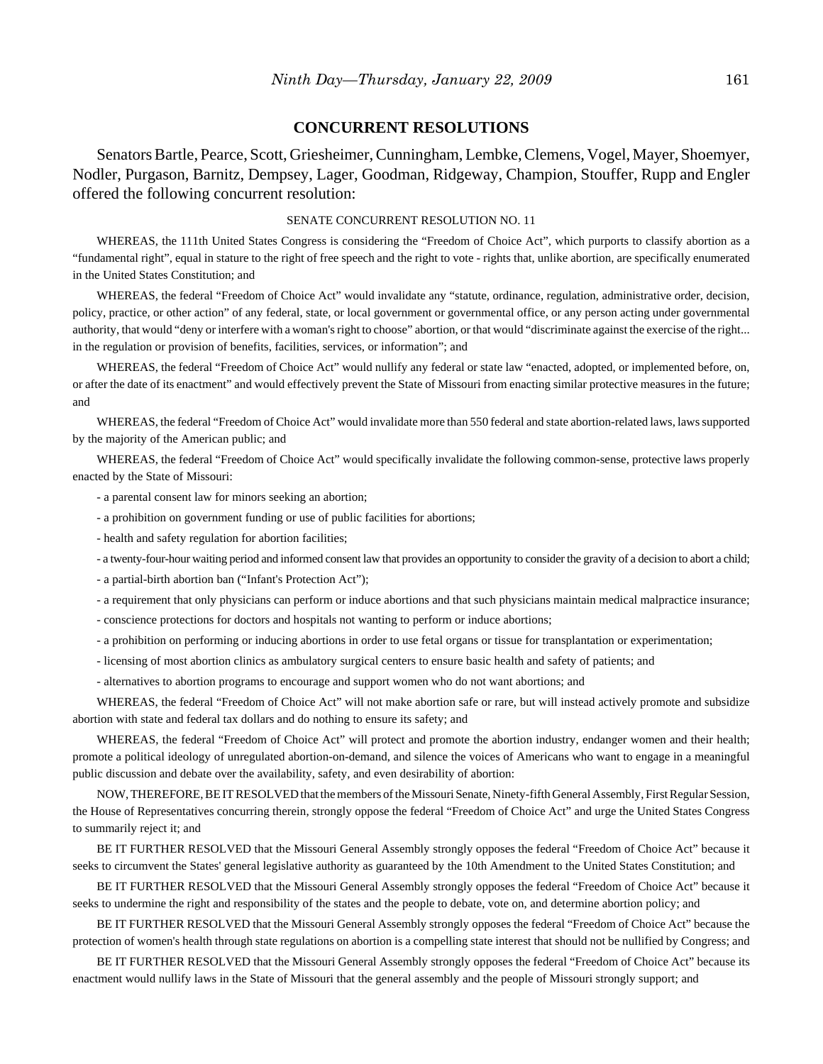#### **CONCURRENT RESOLUTIONS**

Senators Bartle, Pearce, Scott, Griesheimer, Cunningham, Lembke, Clemens, Vogel, Mayer, Shoemyer, Nodler, Purgason, Barnitz, Dempsey, Lager, Goodman, Ridgeway, Champion, Stouffer, Rupp and Engler offered the following concurrent resolution:

#### SENATE CONCURRENT RESOLUTION NO. 11

WHEREAS, the 111th United States Congress is considering the "Freedom of Choice Act", which purports to classify abortion as a "fundamental right", equal in stature to the right of free speech and the right to vote - rights that, unlike abortion, are specifically enumerated in the United States Constitution; and

WHEREAS, the federal "Freedom of Choice Act" would invalidate any "statute, ordinance, regulation, administrative order, decision, policy, practice, or other action" of any federal, state, or local government or governmental office, or any person acting under governmental authority, that would "deny or interfere with a woman's right to choose" abortion, or that would "discriminate against the exercise of the right... in the regulation or provision of benefits, facilities, services, or information"; and

WHEREAS, the federal "Freedom of Choice Act" would nullify any federal or state law "enacted, adopted, or implemented before, on, or after the date of its enactment" and would effectively prevent the State of Missouri from enacting similar protective measures in the future; and

WHEREAS, the federal "Freedom of Choice Act" would invalidate more than 550 federal and state abortion-related laws, laws supported by the majority of the American public; and

WHEREAS, the federal "Freedom of Choice Act" would specifically invalidate the following common-sense, protective laws properly enacted by the State of Missouri:

- a parental consent law for minors seeking an abortion;

- a prohibition on government funding or use of public facilities for abortions;
- health and safety regulation for abortion facilities;
- a twenty-four-hour waiting period and informed consent law that provides an opportunity to consider the gravity of a decision to abort a child;
- a partial-birth abortion ban ("Infant's Protection Act");
- a requirement that only physicians can perform or induce abortions and that such physicians maintain medical malpractice insurance;
- conscience protections for doctors and hospitals not wanting to perform or induce abortions;
- a prohibition on performing or inducing abortions in order to use fetal organs or tissue for transplantation or experimentation;
- licensing of most abortion clinics as ambulatory surgical centers to ensure basic health and safety of patients; and
- alternatives to abortion programs to encourage and support women who do not want abortions; and

WHEREAS, the federal "Freedom of Choice Act" will not make abortion safe or rare, but will instead actively promote and subsidize abortion with state and federal tax dollars and do nothing to ensure its safety; and

WHEREAS, the federal "Freedom of Choice Act" will protect and promote the abortion industry, endanger women and their health; promote a political ideology of unregulated abortion-on-demand, and silence the voices of Americans who want to engage in a meaningful public discussion and debate over the availability, safety, and even desirability of abortion:

NOW, THEREFORE, BE IT RESOLVED that the members of the Missouri Senate, Ninety-fifth General Assembly, First Regular Session, the House of Representatives concurring therein, strongly oppose the federal "Freedom of Choice Act" and urge the United States Congress to summarily reject it; and

BE IT FURTHER RESOLVED that the Missouri General Assembly strongly opposes the federal "Freedom of Choice Act" because it seeks to circumvent the States' general legislative authority as guaranteed by the 10th Amendment to the United States Constitution; and

BE IT FURTHER RESOLVED that the Missouri General Assembly strongly opposes the federal "Freedom of Choice Act" because it seeks to undermine the right and responsibility of the states and the people to debate, vote on, and determine abortion policy; and

BE IT FURTHER RESOLVED that the Missouri General Assembly strongly opposes the federal "Freedom of Choice Act" because the protection of women's health through state regulations on abortion is a compelling state interest that should not be nullified by Congress; and

BE IT FURTHER RESOLVED that the Missouri General Assembly strongly opposes the federal "Freedom of Choice Act" because its enactment would nullify laws in the State of Missouri that the general assembly and the people of Missouri strongly support; and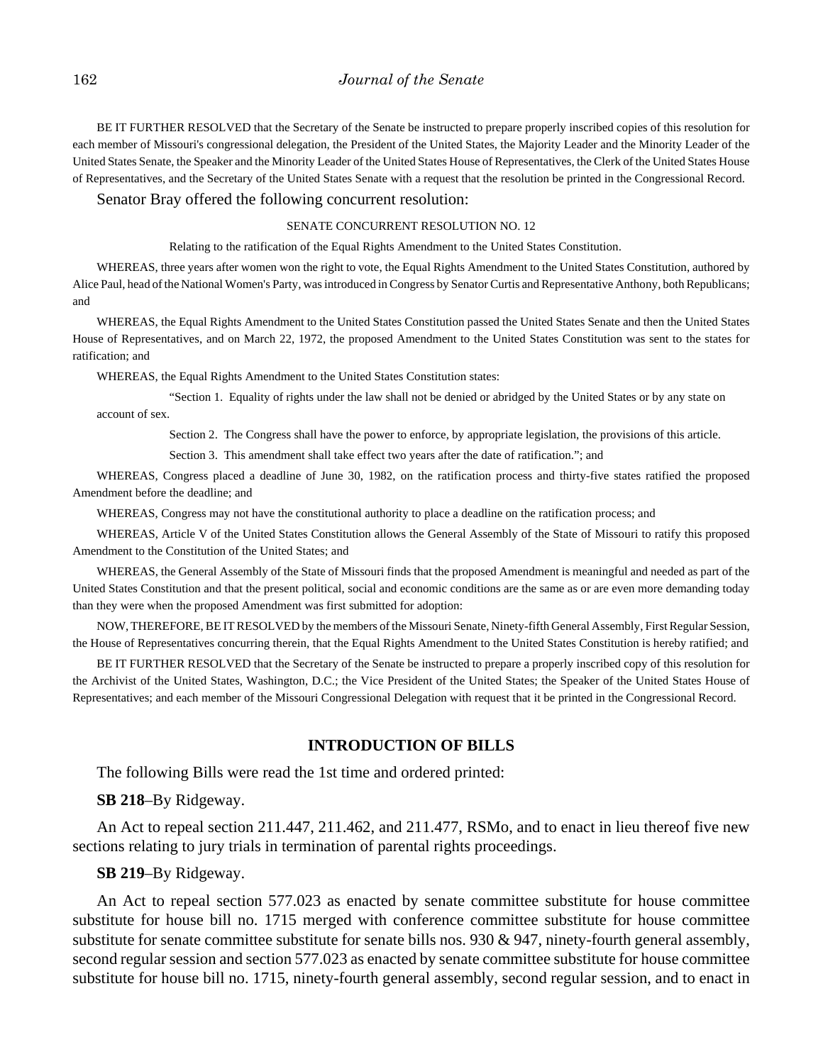BE IT FURTHER RESOLVED that the Secretary of the Senate be instructed to prepare properly inscribed copies of this resolution for each member of Missouri's congressional delegation, the President of the United States, the Majority Leader and the Minority Leader of the United States Senate, the Speaker and the Minority Leader of the United States House of Representatives, the Clerk of the United States House of Representatives, and the Secretary of the United States Senate with a request that the resolution be printed in the Congressional Record.

Senator Bray offered the following concurrent resolution:

#### SENATE CONCURRENT RESOLUTION NO. 12

Relating to the ratification of the Equal Rights Amendment to the United States Constitution.

WHEREAS, three years after women won the right to vote, the Equal Rights Amendment to the United States Constitution, authored by Alice Paul, head of the National Women's Party, was introduced in Congress by Senator Curtis and Representative Anthony, both Republicans; and

WHEREAS, the Equal Rights Amendment to the United States Constitution passed the United States Senate and then the United States House of Representatives, and on March 22, 1972, the proposed Amendment to the United States Constitution was sent to the states for ratification; and

WHEREAS, the Equal Rights Amendment to the United States Constitution states:

"Section 1. Equality of rights under the law shall not be denied or abridged by the United States or by any state on account of sex.

Section 2. The Congress shall have the power to enforce, by appropriate legislation, the provisions of this article.

Section 3. This amendment shall take effect two years after the date of ratification."; and

WHEREAS, Congress placed a deadline of June 30, 1982, on the ratification process and thirty-five states ratified the proposed Amendment before the deadline; and

WHEREAS, Congress may not have the constitutional authority to place a deadline on the ratification process; and

WHEREAS, Article V of the United States Constitution allows the General Assembly of the State of Missouri to ratify this proposed Amendment to the Constitution of the United States; and

WHEREAS, the General Assembly of the State of Missouri finds that the proposed Amendment is meaningful and needed as part of the United States Constitution and that the present political, social and economic conditions are the same as or are even more demanding today than they were when the proposed Amendment was first submitted for adoption:

NOW, THEREFORE, BE IT RESOLVED by the members of the Missouri Senate, Ninety-fifth General Assembly, First Regular Session, the House of Representatives concurring therein, that the Equal Rights Amendment to the United States Constitution is hereby ratified; and

BE IT FURTHER RESOLVED that the Secretary of the Senate be instructed to prepare a properly inscribed copy of this resolution for the Archivist of the United States, Washington, D.C.; the Vice President of the United States; the Speaker of the United States House of Representatives; and each member of the Missouri Congressional Delegation with request that it be printed in the Congressional Record.

#### **INTRODUCTION OF BILLS**

The following Bills were read the 1st time and ordered printed:

#### **SB 218**–By Ridgeway.

An Act to repeal section 211.447, 211.462, and 211.477, RSMo, and to enact in lieu thereof five new sections relating to jury trials in termination of parental rights proceedings.

#### **SB 219**–By Ridgeway.

An Act to repeal section 577.023 as enacted by senate committee substitute for house committee substitute for house bill no. 1715 merged with conference committee substitute for house committee substitute for senate committee substitute for senate bills nos.  $930 \& 947$ , ninety-fourth general assembly, second regular session and section 577.023 as enacted by senate committee substitute for house committee substitute for house bill no. 1715, ninety-fourth general assembly, second regular session, and to enact in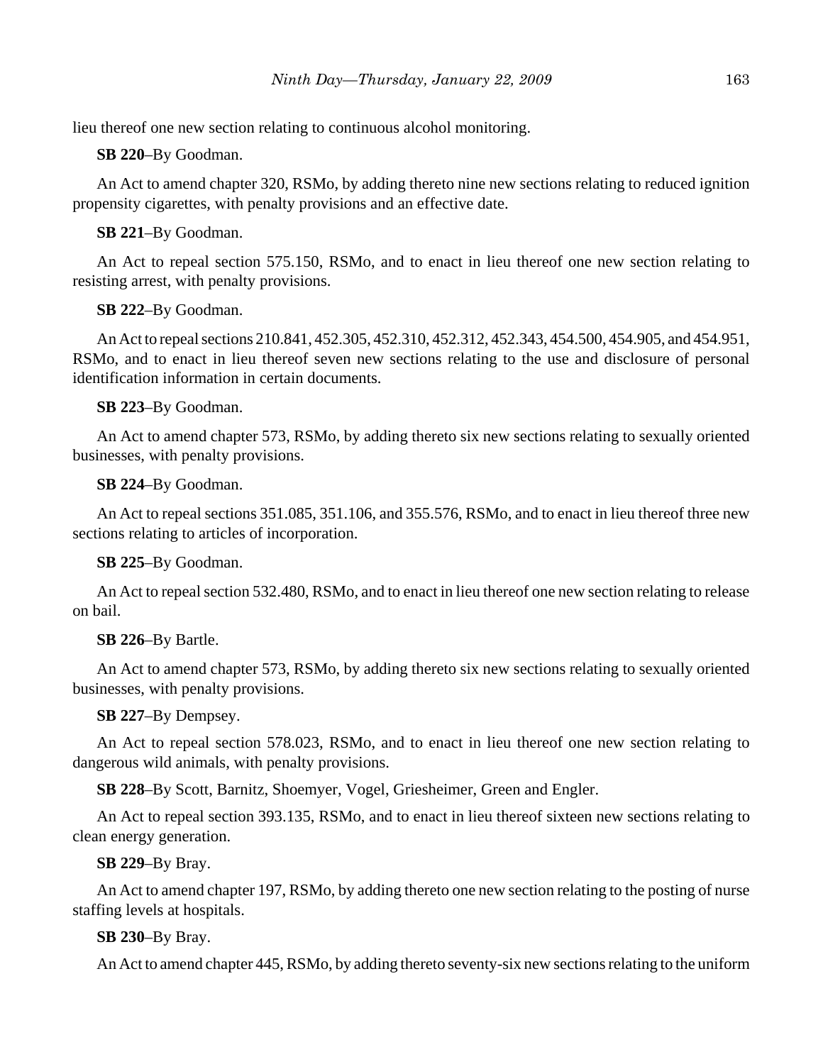lieu thereof one new section relating to continuous alcohol monitoring.

**SB 220**–By Goodman.

An Act to amend chapter 320, RSMo, by adding thereto nine new sections relating to reduced ignition propensity cigarettes, with penalty provisions and an effective date.

# **SB 221**–By Goodman.

An Act to repeal section 575.150, RSMo, and to enact in lieu thereof one new section relating to resisting arrest, with penalty provisions.

# **SB 222**–By Goodman.

An Act to repeal sections 210.841, 452.305, 452.310, 452.312, 452.343, 454.500, 454.905, and 454.951, RSMo, and to enact in lieu thereof seven new sections relating to the use and disclosure of personal identification information in certain documents.

# **SB 223**–By Goodman.

An Act to amend chapter 573, RSMo, by adding thereto six new sections relating to sexually oriented businesses, with penalty provisions.

# **SB 224**–By Goodman.

An Act to repeal sections 351.085, 351.106, and 355.576, RSMo, and to enact in lieu thereof three new sections relating to articles of incorporation.

# **SB 225**–By Goodman.

An Act to repeal section 532.480, RSMo, and to enact in lieu thereof one new section relating to release on bail.

# **SB 226**–By Bartle.

An Act to amend chapter 573, RSMo, by adding thereto six new sections relating to sexually oriented businesses, with penalty provisions.

# **SB 227**–By Dempsey.

An Act to repeal section 578.023, RSMo, and to enact in lieu thereof one new section relating to dangerous wild animals, with penalty provisions.

**SB 228**–By Scott, Barnitz, Shoemyer, Vogel, Griesheimer, Green and Engler.

An Act to repeal section 393.135, RSMo, and to enact in lieu thereof sixteen new sections relating to clean energy generation.

# **SB 229**–By Bray.

An Act to amend chapter 197, RSMo, by adding thereto one new section relating to the posting of nurse staffing levels at hospitals.

# **SB 230**–By Bray.

An Act to amend chapter 445, RSMo, by adding thereto seventy-six new sections relating to the uniform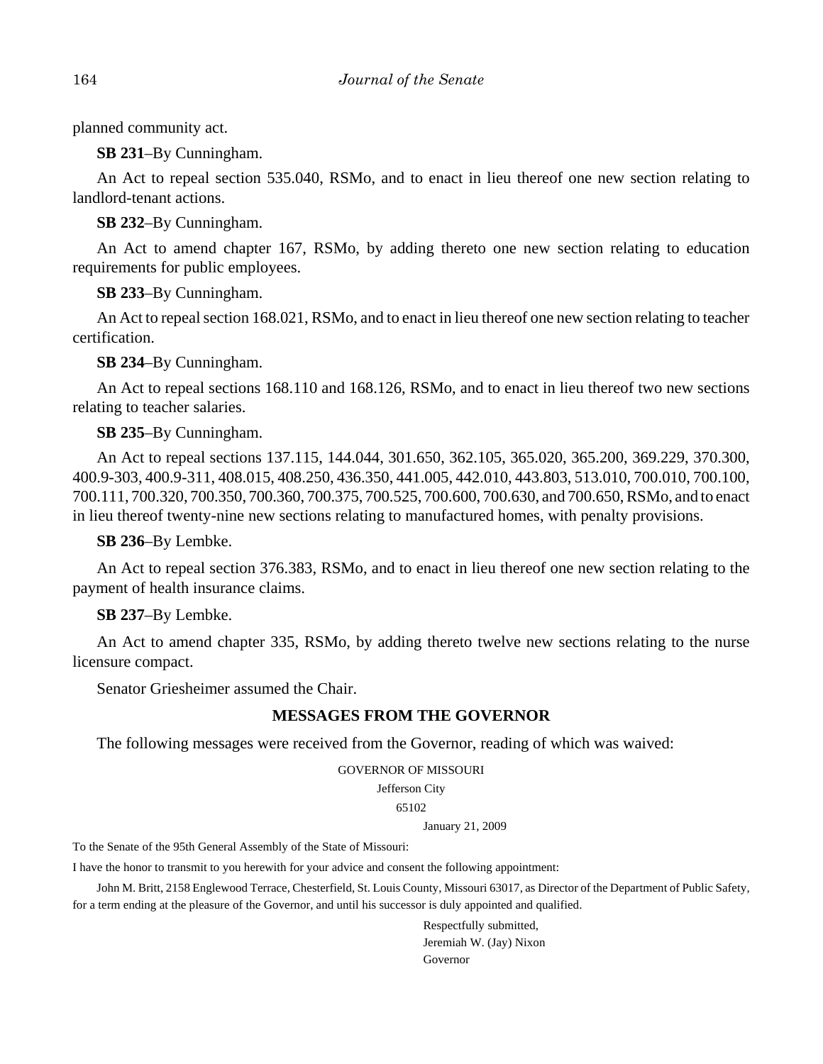planned community act.

**SB 231**–By Cunningham.

An Act to repeal section 535.040, RSMo, and to enact in lieu thereof one new section relating to landlord-tenant actions.

**SB 232**–By Cunningham.

An Act to amend chapter 167, RSMo, by adding thereto one new section relating to education requirements for public employees.

**SB 233**–By Cunningham.

An Act to repeal section 168.021, RSMo, and to enact in lieu thereof one new section relating to teacher certification.

**SB 234**–By Cunningham.

An Act to repeal sections 168.110 and 168.126, RSMo, and to enact in lieu thereof two new sections relating to teacher salaries.

# **SB 235**–By Cunningham.

An Act to repeal sections 137.115, 144.044, 301.650, 362.105, 365.020, 365.200, 369.229, 370.300, 400.9-303, 400.9-311, 408.015, 408.250, 436.350, 441.005, 442.010, 443.803, 513.010, 700.010, 700.100, 700.111, 700.320, 700.350, 700.360, 700.375, 700.525, 700.600, 700.630, and 700.650, RSMo, and to enact in lieu thereof twenty-nine new sections relating to manufactured homes, with penalty provisions.

**SB 236**–By Lembke.

An Act to repeal section 376.383, RSMo, and to enact in lieu thereof one new section relating to the payment of health insurance claims.

# **SB 237**–By Lembke.

An Act to amend chapter 335, RSMo, by adding thereto twelve new sections relating to the nurse licensure compact.

Senator Griesheimer assumed the Chair.

# **MESSAGES FROM THE GOVERNOR**

The following messages were received from the Governor, reading of which was waived:

#### GOVERNOR OF MISSOURI

Jefferson City

65102

January 21, 2009

To the Senate of the 95th General Assembly of the State of Missouri:

I have the honor to transmit to you herewith for your advice and consent the following appointment:

John M. Britt, 2158 Englewood Terrace, Chesterfield, St. Louis County, Missouri 63017, as Director of the Department of Public Safety, for a term ending at the pleasure of the Governor, and until his successor is duly appointed and qualified.

> Respectfully submitted, Jeremiah W. (Jay) Nixon Governor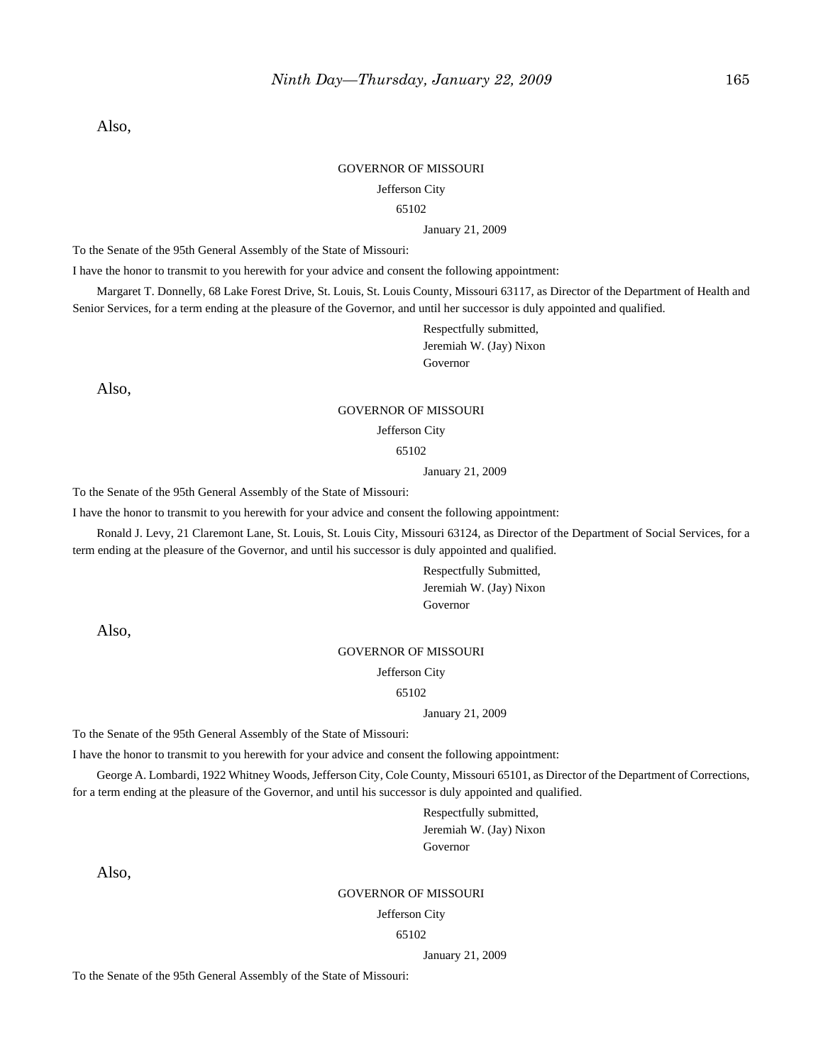Also,

#### GOVERNOR OF MISSOURI

#### Jefferson City

#### 65102

#### January 21, 2009

To the Senate of the 95th General Assembly of the State of Missouri:

I have the honor to transmit to you herewith for your advice and consent the following appointment:

Margaret T. Donnelly, 68 Lake Forest Drive, St. Louis, St. Louis County, Missouri 63117, as Director of the Department of Health and Senior Services, for a term ending at the pleasure of the Governor, and until her successor is duly appointed and qualified.

> Respectfully submitted, Jeremiah W. (Jay) Nixon Governor

Also,

#### GOVERNOR OF MISSOURI

Jefferson City

65102

January 21, 2009

To the Senate of the 95th General Assembly of the State of Missouri:

I have the honor to transmit to you herewith for your advice and consent the following appointment:

Ronald J. Levy, 21 Claremont Lane, St. Louis, St. Louis City, Missouri 63124, as Director of the Department of Social Services, for a term ending at the pleasure of the Governor, and until his successor is duly appointed and qualified.

> Respectfully Submitted, Jeremiah W. (Jay) Nixon Governor

Also,

#### GOVERNOR OF MISSOURI

Jefferson City

65102

#### January 21, 2009

To the Senate of the 95th General Assembly of the State of Missouri:

I have the honor to transmit to you herewith for your advice and consent the following appointment:

George A. Lombardi, 1922 Whitney Woods, Jefferson City, Cole County, Missouri 65101, as Director of the Department of Corrections, for a term ending at the pleasure of the Governor, and until his successor is duly appointed and qualified.

> Respectfully submitted, Jeremiah W. (Jay) Nixon Governor

Also,

#### GOVERNOR OF MISSOURI

Jefferson City

65102

January 21, 2009

To the Senate of the 95th General Assembly of the State of Missouri: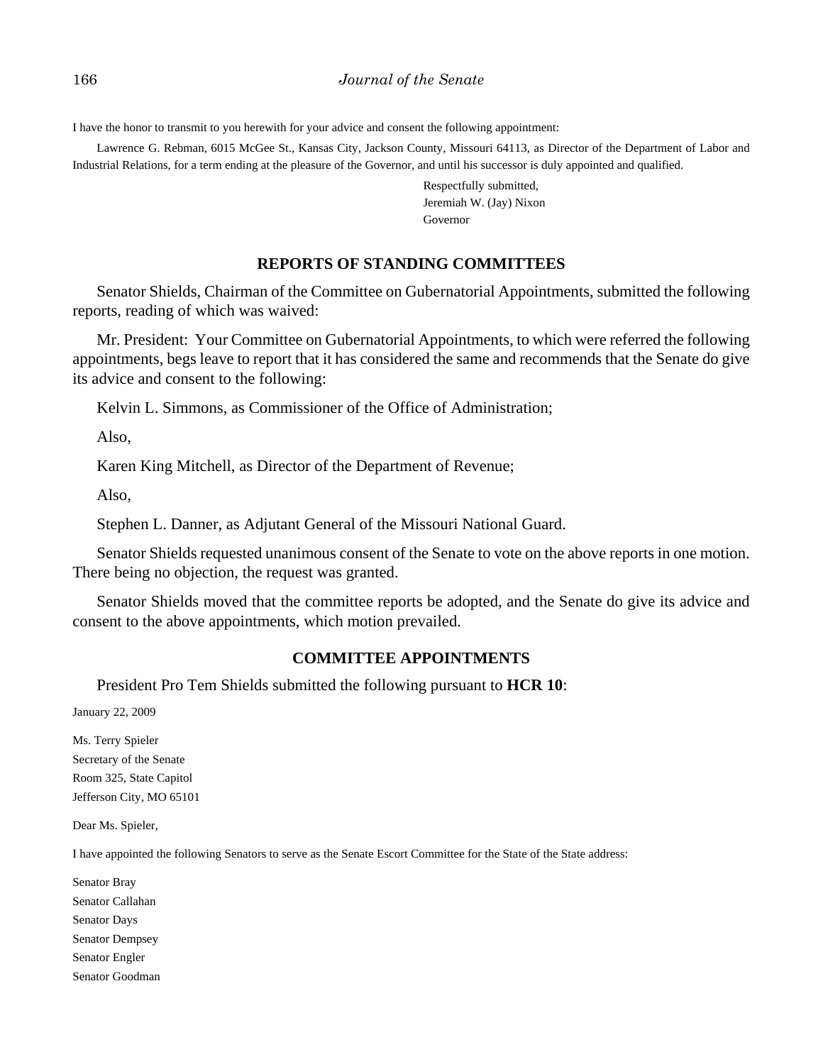I have the honor to transmit to you herewith for your advice and consent the following appointment:

Lawrence G. Rebman, 6015 McGee St., Kansas City, Jackson County, Missouri 64113, as Director of the Department of Labor and Industrial Relations, for a term ending at the pleasure of the Governor, and until his successor is duly appointed and qualified.

> Respectfully submitted, Jeremiah W. (Jay) Nixon Governor

#### **REPORTS OF STANDING COMMITTEES**

Senator Shields, Chairman of the Committee on Gubernatorial Appointments, submitted the following reports, reading of which was waived:

Mr. President: Your Committee on Gubernatorial Appointments, to which were referred the following appointments, begs leave to report that it has considered the same and recommends that the Senate do give its advice and consent to the following:

Kelvin L. Simmons, as Commissioner of the Office of Administration;

Also,

Karen King Mitchell, as Director of the Department of Revenue;

Also,

Stephen L. Danner, as Adjutant General of the Missouri National Guard.

Senator Shields requested unanimous consent of the Senate to vote on the above reports in one motion. There being no objection, the request was granted.

Senator Shields moved that the committee reports be adopted, and the Senate do give its advice and consent to the above appointments, which motion prevailed.

## **COMMITTEE APPOINTMENTS**

President Pro Tem Shields submitted the following pursuant to **HCR 10**:

January 22, 2009

Ms. Terry Spieler Secretary of the Senate Room 325, State Capitol Jefferson City, MO 65101

Dear Ms. Spieler,

I have appointed the following Senators to serve as the Senate Escort Committee for the State of the State address:

Senator Bray Senator Callahan Senator Days Senator Dempsey Senator Engler Senator Goodman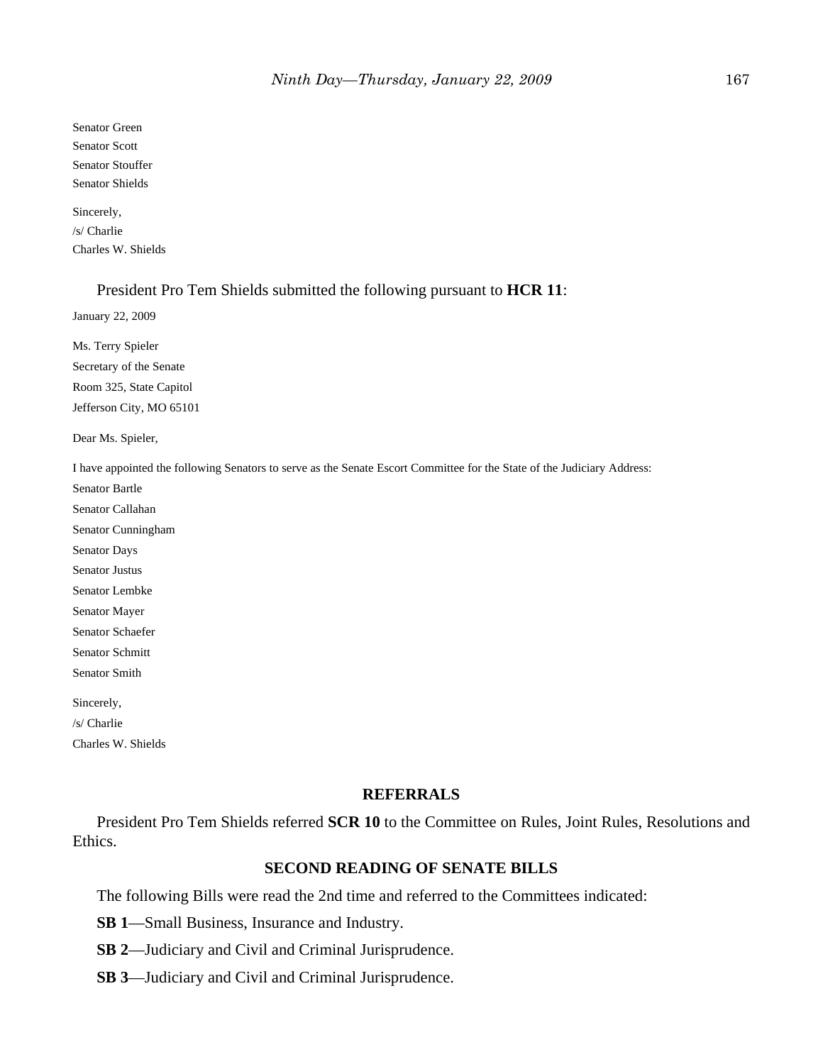Senator Green Senator Scott Senator Stouffer Senator Shields

Sincerely, /s/ Charlie Charles W. Shields

#### President Pro Tem Shields submitted the following pursuant to **HCR 11**:

January 22, 2009

Ms. Terry Spieler Secretary of the Senate Room 325, State Capitol Jefferson City, MO 65101

Dear Ms. Spieler,

I have appointed the following Senators to serve as the Senate Escort Committee for the State of the Judiciary Address:

Senator Bartle Senator Callahan Senator Cunningham

Senator Days

Senator Justus

Senator Lembke

Senator Mayer

Senator Schaefer Senator Schmitt

Senator Smith

Sincerely, /s/ Charlie Charles W. Shields

#### **REFERRALS**

President Pro Tem Shields referred **SCR 10** to the Committee on Rules, Joint Rules, Resolutions and Ethics.

## **SECOND READING OF SENATE BILLS**

The following Bills were read the 2nd time and referred to the Committees indicated:

**SB 1**—Small Business, Insurance and Industry.

**SB 2**—Judiciary and Civil and Criminal Jurisprudence.

**SB 3**—Judiciary and Civil and Criminal Jurisprudence.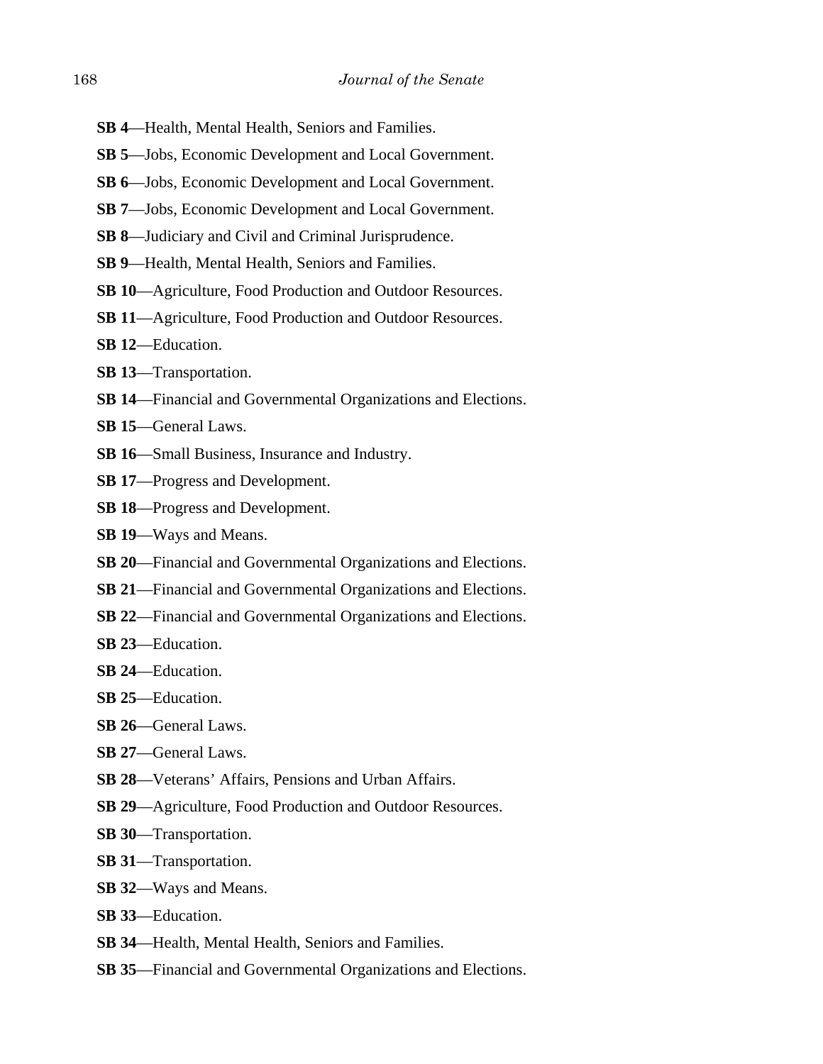- **SB 4**—Health, Mental Health, Seniors and Families.
- **SB 5**—Jobs, Economic Development and Local Government.
- **SB 6**—Jobs, Economic Development and Local Government.
- **SB 7**—Jobs, Economic Development and Local Government.
- **SB 8**—Judiciary and Civil and Criminal Jurisprudence.
- **SB 9**—Health, Mental Health, Seniors and Families.
- **SB 10**—Agriculture, Food Production and Outdoor Resources.
- **SB 11**—Agriculture, Food Production and Outdoor Resources.
- **SB 12**—Education.
- **SB 13**—Transportation.
- **SB 14**—Financial and Governmental Organizations and Elections.
- **SB 15**—General Laws.
- **SB 16**—Small Business, Insurance and Industry.
- **SB 17**—Progress and Development.
- **SB 18**—Progress and Development.
- **SB 19**—Ways and Means.
- **SB 20**—Financial and Governmental Organizations and Elections.
- **SB 21**—Financial and Governmental Organizations and Elections.
- **SB 22**—Financial and Governmental Organizations and Elections.
- **SB 23**—Education.
- **SB 24**—Education.
- **SB 25**—Education.
- **SB 26**—General Laws.
- **SB 27**—General Laws.
- **SB 28**—Veterans' Affairs, Pensions and Urban Affairs.
- **SB 29**—Agriculture, Food Production and Outdoor Resources.
- **SB 30**—Transportation.
- **SB 31**—Transportation.
- **SB 32**—Ways and Means.
- **SB 33**—Education.
- **SB 34**—Health, Mental Health, Seniors and Families.
- **SB 35**—Financial and Governmental Organizations and Elections.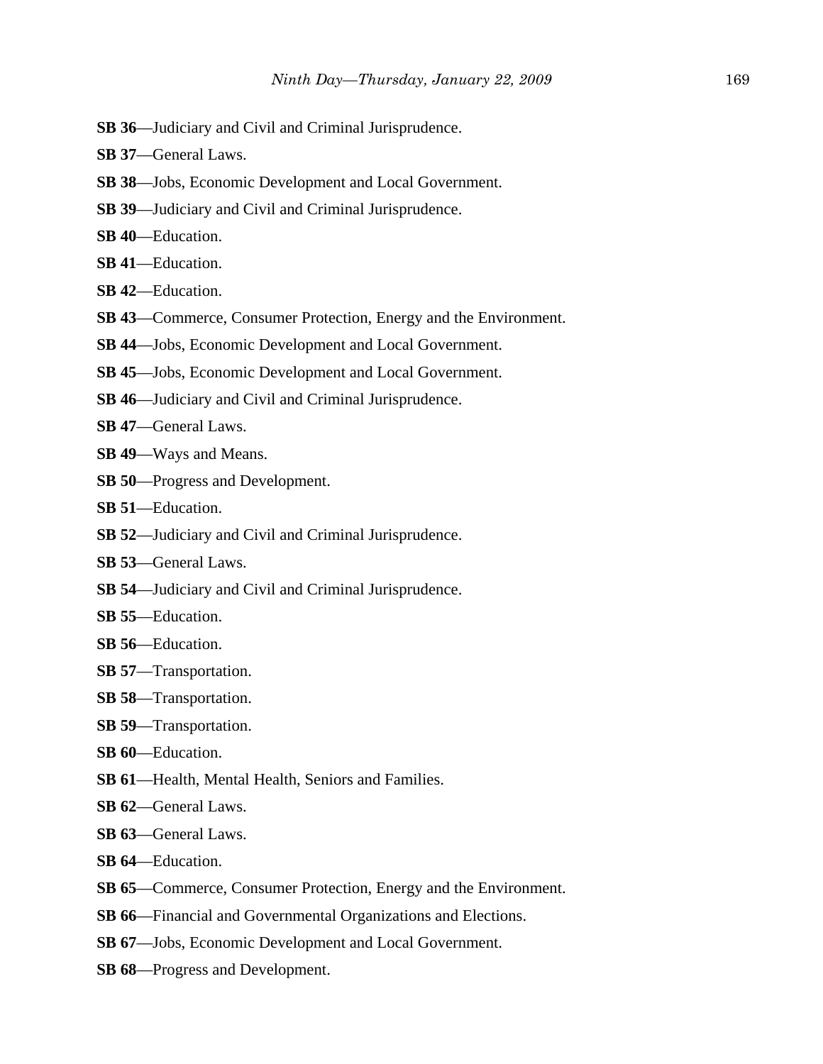- **SB 36**—Judiciary and Civil and Criminal Jurisprudence.
- **SB 37**—General Laws.
- **SB 38**—Jobs, Economic Development and Local Government.
- **SB 39**—Judiciary and Civil and Criminal Jurisprudence.
- **SB 40**—Education.
- **SB 41**—Education.
- **SB 42**—Education.
- **SB 43**—Commerce, Consumer Protection, Energy and the Environment.
- **SB 44**—Jobs, Economic Development and Local Government.
- **SB 45**—Jobs, Economic Development and Local Government.
- **SB 46**—Judiciary and Civil and Criminal Jurisprudence.
- **SB 47**—General Laws.
- **SB 49**—Ways and Means.
- **SB 50**—Progress and Development.
- **SB 51**—Education.
- **SB 52**—Judiciary and Civil and Criminal Jurisprudence.
- **SB 53**—General Laws.
- **SB 54**—Judiciary and Civil and Criminal Jurisprudence.
- **SB 55**—Education.
- **SB 56**—Education.
- **SB 57**—Transportation.
- **SB 58**—Transportation.
- **SB 59**—Transportation.
- **SB 60**—Education.
- **SB 61**—Health, Mental Health, Seniors and Families.
- **SB 62**—General Laws.
- **SB 63**—General Laws.
- **SB 64**—Education.
- **SB 65**—Commerce, Consumer Protection, Energy and the Environment.
- **SB 66**—Financial and Governmental Organizations and Elections.
- **SB 67**—Jobs, Economic Development and Local Government.
- **SB 68**—Progress and Development.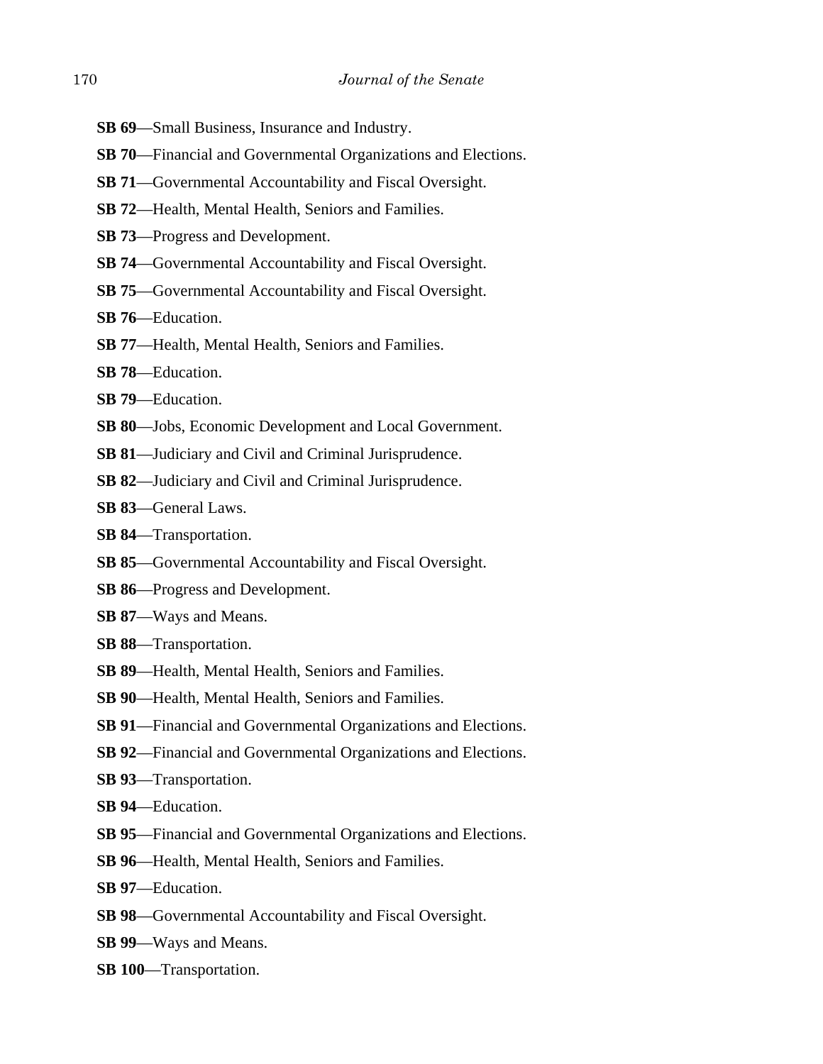- **SB 69**—Small Business, Insurance and Industry.
- **SB 70**—Financial and Governmental Organizations and Elections.
- **SB 71**—Governmental Accountability and Fiscal Oversight.
- **SB 72**—Health, Mental Health, Seniors and Families.
- **SB 73**—Progress and Development.
- **SB 74**—Governmental Accountability and Fiscal Oversight.
- **SB 75**—Governmental Accountability and Fiscal Oversight.
- **SB 76**—Education.
- **SB 77**—Health, Mental Health, Seniors and Families.
- **SB 78**—Education.
- **SB 79**—Education.
- **SB 80**—Jobs, Economic Development and Local Government.
- **SB 81**—Judiciary and Civil and Criminal Jurisprudence.
- **SB 82**—Judiciary and Civil and Criminal Jurisprudence.
- **SB 83**—General Laws.
- **SB 84**—Transportation.
- **SB 85**—Governmental Accountability and Fiscal Oversight.
- **SB 86**—Progress and Development.
- **SB 87**—Ways and Means.
- **SB 88**—Transportation.
- **SB 89**—Health, Mental Health, Seniors and Families.
- **SB 90**—Health, Mental Health, Seniors and Families.
- **SB 91**—Financial and Governmental Organizations and Elections.
- **SB 92**—Financial and Governmental Organizations and Elections.
- **SB 93**—Transportation.
- **SB 94**—Education.
- **SB 95**—Financial and Governmental Organizations and Elections.
- **SB 96**—Health, Mental Health, Seniors and Families.
- **SB 97**—Education.
- **SB 98**—Governmental Accountability and Fiscal Oversight.
- **SB 99**—Ways and Means.
- **SB 100**—Transportation.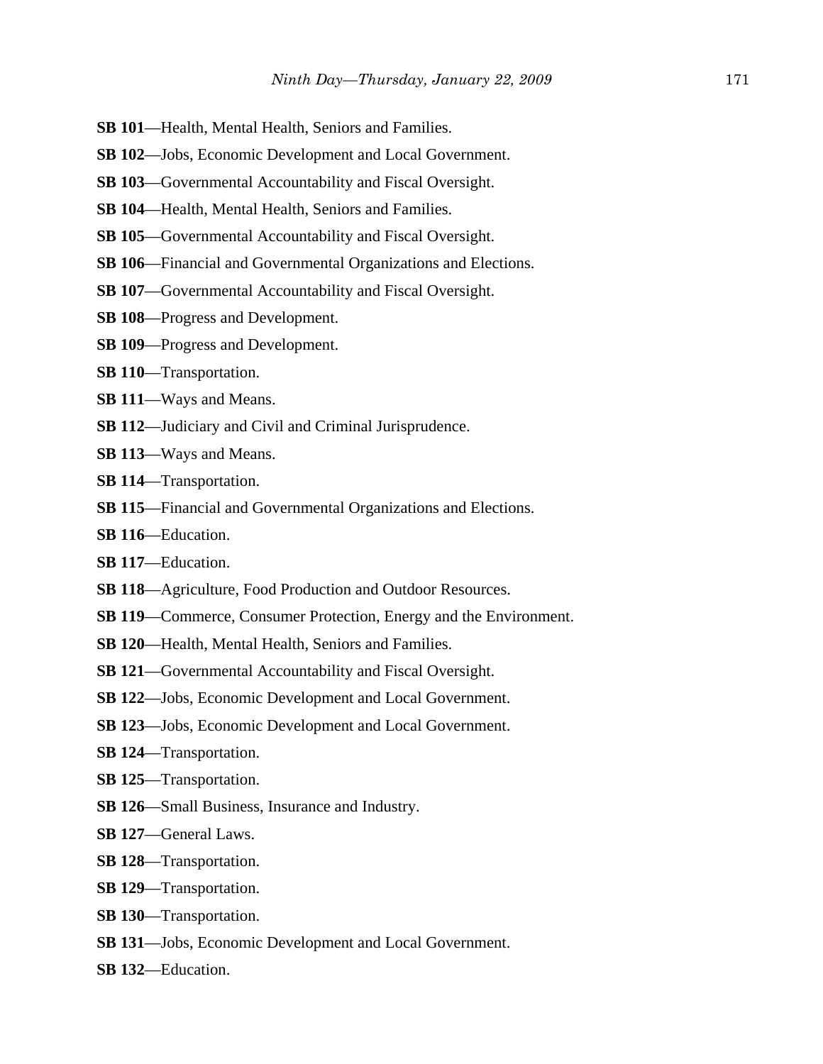- **SB 101**—Health, Mental Health, Seniors and Families.
- **SB 102**—Jobs, Economic Development and Local Government.
- **SB 103**—Governmental Accountability and Fiscal Oversight.
- **SB 104**—Health, Mental Health, Seniors and Families.
- **SB 105**—Governmental Accountability and Fiscal Oversight.
- **SB 106**—Financial and Governmental Organizations and Elections.
- **SB 107**—Governmental Accountability and Fiscal Oversight.
- **SB 108**—Progress and Development.
- **SB 109**—Progress and Development.
- **SB 110**—Transportation.
- **SB 111**—Ways and Means.
- **SB 112**—Judiciary and Civil and Criminal Jurisprudence.
- **SB 113**—Ways and Means.
- **SB 114**—Transportation.
- **SB 115**—Financial and Governmental Organizations and Elections.
- **SB 116**—Education.
- **SB 117**—Education.
- **SB 118**—Agriculture, Food Production and Outdoor Resources.
- **SB 119**—Commerce, Consumer Protection, Energy and the Environment.
- **SB 120**—Health, Mental Health, Seniors and Families.
- **SB 121**—Governmental Accountability and Fiscal Oversight.
- **SB 122**—Jobs, Economic Development and Local Government.
- **SB 123**—Jobs, Economic Development and Local Government.
- **SB 124**—Transportation.
- **SB 125**—Transportation.
- **SB 126**—Small Business, Insurance and Industry.
- **SB 127**—General Laws.
- **SB 128**—Transportation.
- **SB 129**—Transportation.
- **SB 130**—Transportation.
- **SB 131**—Jobs, Economic Development and Local Government.
- **SB 132**—Education.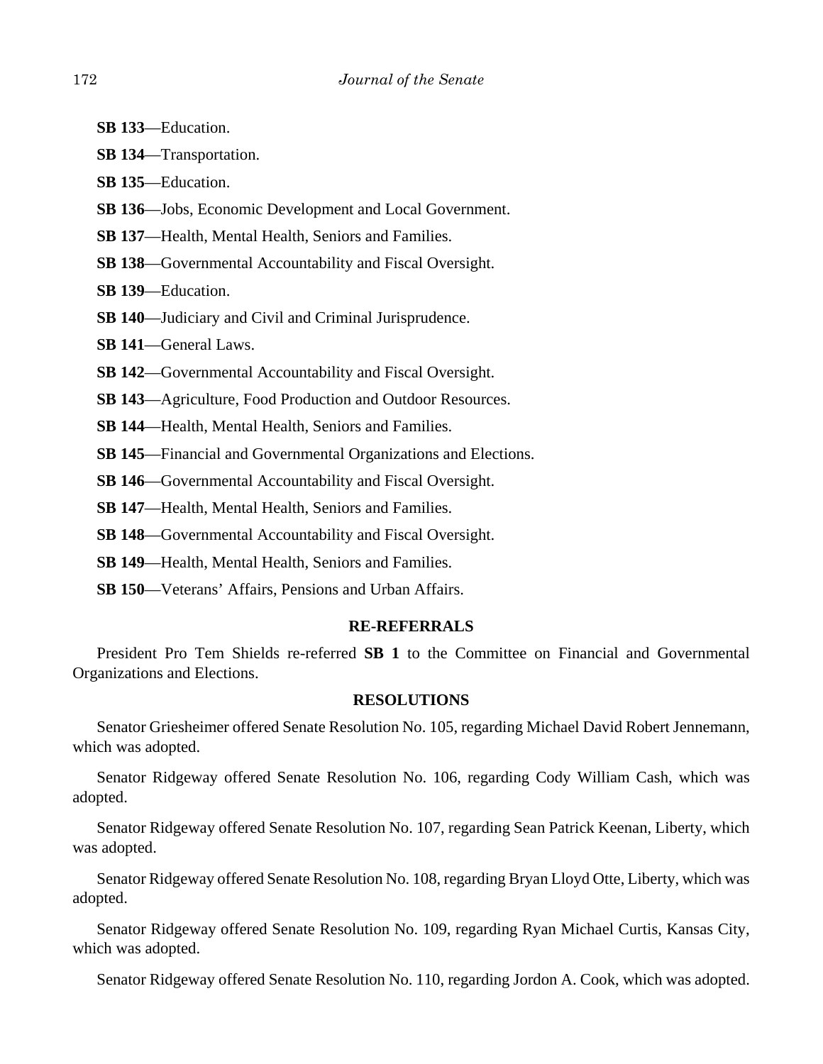- **SB 133**—Education.
- **SB 134**—Transportation.
- **SB 135**—Education.
- **SB 136**—Jobs, Economic Development and Local Government.
- **SB 137**—Health, Mental Health, Seniors and Families.
- **SB 138**—Governmental Accountability and Fiscal Oversight.
- **SB 139**—Education.
- **SB 140**—Judiciary and Civil and Criminal Jurisprudence.
- **SB 141**—General Laws.
- **SB 142**—Governmental Accountability and Fiscal Oversight.
- **SB 143**—Agriculture, Food Production and Outdoor Resources.
- **SB 144**—Health, Mental Health, Seniors and Families.
- **SB 145**—Financial and Governmental Organizations and Elections.
- **SB 146**—Governmental Accountability and Fiscal Oversight.
- **SB 147**—Health, Mental Health, Seniors and Families.
- **SB 148**—Governmental Accountability and Fiscal Oversight.
- **SB 149**—Health, Mental Health, Seniors and Families.
- **SB 150**—Veterans' Affairs, Pensions and Urban Affairs.

### **RE-REFERRALS**

President Pro Tem Shields re-referred **SB 1** to the Committee on Financial and Governmental Organizations and Elections.

#### **RESOLUTIONS**

Senator Griesheimer offered Senate Resolution No. 105, regarding Michael David Robert Jennemann, which was adopted.

Senator Ridgeway offered Senate Resolution No. 106, regarding Cody William Cash, which was adopted.

Senator Ridgeway offered Senate Resolution No. 107, regarding Sean Patrick Keenan, Liberty, which was adopted.

Senator Ridgeway offered Senate Resolution No. 108, regarding Bryan Lloyd Otte, Liberty, which was adopted.

Senator Ridgeway offered Senate Resolution No. 109, regarding Ryan Michael Curtis, Kansas City, which was adopted.

Senator Ridgeway offered Senate Resolution No. 110, regarding Jordon A. Cook, which was adopted.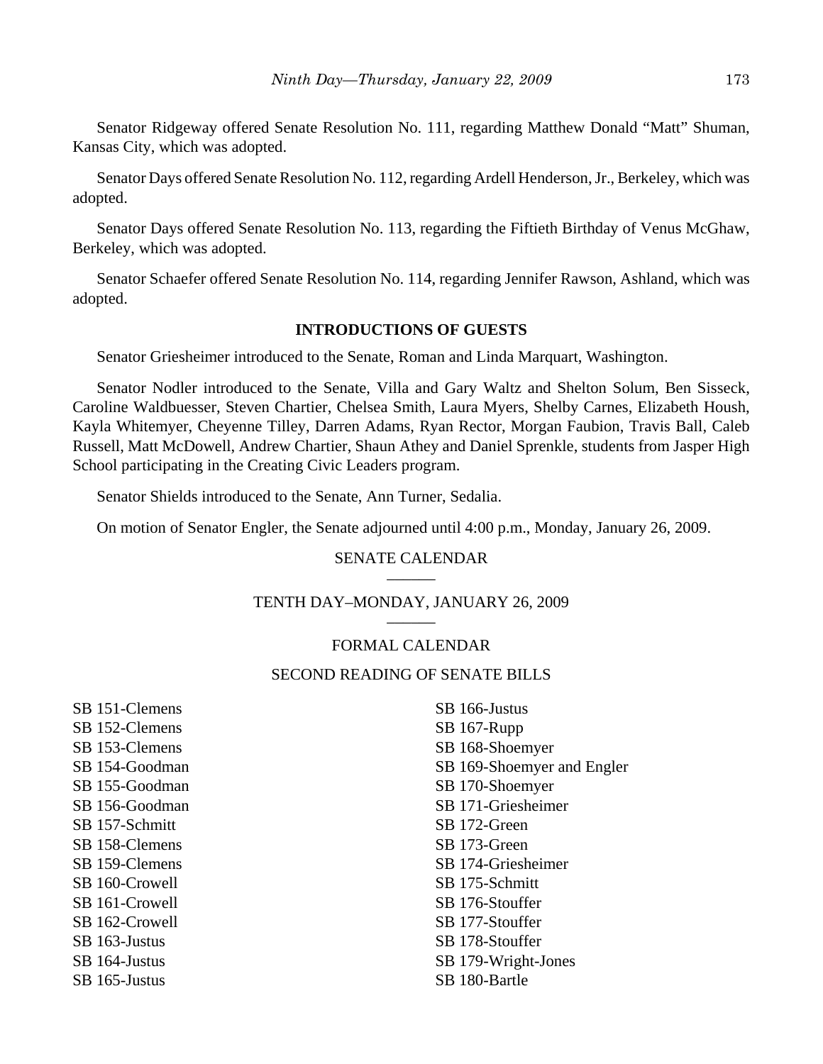Senator Ridgeway offered Senate Resolution No. 111, regarding Matthew Donald "Matt" Shuman, Kansas City, which was adopted.

Senator Days offered Senate Resolution No. 112, regarding Ardell Henderson, Jr., Berkeley, which was adopted.

Senator Days offered Senate Resolution No. 113, regarding the Fiftieth Birthday of Venus McGhaw, Berkeley, which was adopted.

Senator Schaefer offered Senate Resolution No. 114, regarding Jennifer Rawson, Ashland, which was adopted.

#### **INTRODUCTIONS OF GUESTS**

Senator Griesheimer introduced to the Senate, Roman and Linda Marquart, Washington.

Senator Nodler introduced to the Senate, Villa and Gary Waltz and Shelton Solum, Ben Sisseck, Caroline Waldbuesser, Steven Chartier, Chelsea Smith, Laura Myers, Shelby Carnes, Elizabeth Housh, Kayla Whitemyer, Cheyenne Tilley, Darren Adams, Ryan Rector, Morgan Faubion, Travis Ball, Caleb Russell, Matt McDowell, Andrew Chartier, Shaun Athey and Daniel Sprenkle, students from Jasper High School participating in the Creating Civic Leaders program.

Senator Shields introduced to the Senate, Ann Turner, Sedalia.

On motion of Senator Engler, the Senate adjourned until 4:00 p.m., Monday, January 26, 2009.

#### SENATE CALENDAR

# TENTH DAY-MONDAY, JANUARY 26, 2009

## FORMAL CALENDAR

### SECOND READING OF SENATE BILLS

SB 151-Clemens SB 152-Clemens SB 153-Clemens SB 154-Goodman SB 155-Goodman SB 156-Goodman SB 157-Schmitt SB 158-Clemens SB 159-Clemens SB 160-Crowell SB 161-Crowell SB 162-Crowell SB 163-Justus SB 164-Justus SB 165-Justus

SB 166-Justus SB 167-Rupp SB 168-Shoemyer SB 169-Shoemyer and Engler SB 170-Shoemyer SB 171-Griesheimer SB 172-Green SB 173-Green SB 174-Griesheimer SB 175-Schmitt SB 176-Stouffer SB 177-Stouffer SB 178-Stouffer SB 179-Wright-Jones SB 180-Bartle